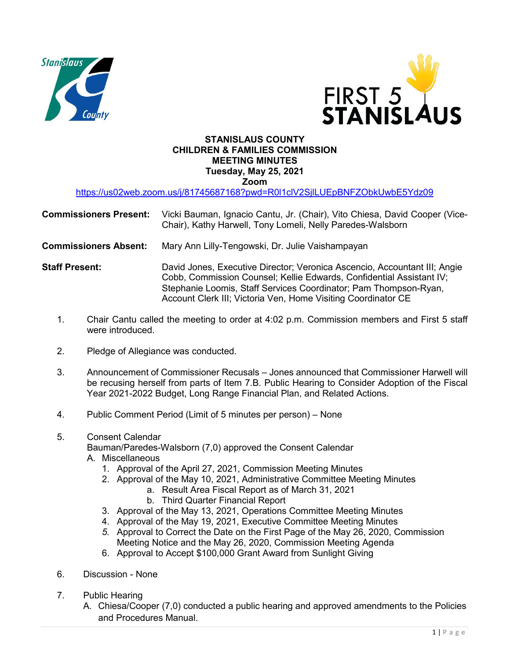



## **STANISLAUS COUNTY CHILDREN & FAMILIES COMMISSION MEETING MINUTES Tuesday, May 25, 2021 Zoom**

<https://us02web.zoom.us/j/81745687168?pwd=R0l1clV2SjlLUEpBNFZObkUwbE5Ydz09>

| <b>Commissioners Present:</b> Vicki Bauman, Ignacio Cantu, Jr. (Chair), Vito Chiesa, David Cooper (Vice- |
|----------------------------------------------------------------------------------------------------------|
| Chair), Kathy Harwell, Tony Lomeli, Nelly Paredes-Walsborn                                               |

- **Commissioners Absent:** Mary Ann Lilly-Tengowski, Dr. Julie Vaishampayan
- **Staff Present:** David Jones, Executive Director; Veronica Ascencio, Accountant III; Angie Cobb, Commission Counsel; Kellie Edwards, Confidential Assistant IV; Stephanie Loomis, Staff Services Coordinator; Pam Thompson-Ryan, Account Clerk III; Victoria Ven, Home Visiting Coordinator CE
	- 1. Chair Cantu called the meeting to order at 4:02 p.m. Commission members and First 5 staff were introduced.
	- 2. Pledge of Allegiance was conducted.
	- 3. Announcement of Commissioner Recusals Jones announced that Commissioner Harwell will be recusing herself from parts of Item 7.B. Public Hearing to Consider Adoption of the Fiscal Year 2021-2022 Budget, Long Range Financial Plan, and Related Actions.
	- 4. Public Comment Period (Limit of 5 minutes per person) None
	- 5. Consent Calendar

Bauman/Paredes-Walsborn (7,0) approved the Consent Calendar

- A. Miscellaneous
	- 1. Approval of the April 27, 2021, Commission Meeting Minutes
	- 2. Approval of the May 10, 2021, Administrative Committee Meeting Minutes
		- a. Result Area Fiscal Report as of March 31, 2021
			- b. Third Quarter Financial Report
	- 3. Approval of the May 13, 2021, Operations Committee Meeting Minutes
	- 4. Approval of the May 19, 2021, Executive Committee Meeting Minutes
	- *5.* Approval to Correct the Date on the First Page of the May 26, 2020, Commission Meeting Notice and the May 26, 2020, Commission Meeting Agenda
	- 6. Approval to Accept \$100,000 Grant Award from Sunlight Giving
- 6. Discussion None
- 7. Public Hearing
	- A. Chiesa/Cooper (7,0) conducted a public hearing and approved amendments to the Policies and Procedures Manual.